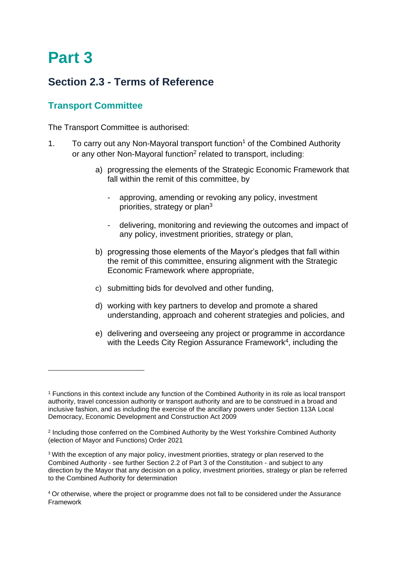## **Part 3**

## **Section 2.3 - Terms of Reference**

## **Transport Committee**

The Transport Committee is authorised:

- 1. To carry out any Non-Mayoral transport function<sup>1</sup> of the Combined Authority or any other Non-Mayoral function<sup>2</sup> related to transport, including:
	- a) progressing the elements of the Strategic Economic Framework that fall within the remit of this committee, by
		- approving, amending or revoking any policy, investment priorities, strategy or plan<sup>3</sup>
		- delivering, monitoring and reviewing the outcomes and impact of any policy, investment priorities, strategy or plan,
	- b) progressing those elements of the Mayor's pledges that fall within the remit of this committee, ensuring alignment with the Strategic Economic Framework where appropriate,
	- c) submitting bids for devolved and other funding,
	- d) working with key partners to develop and promote a shared understanding, approach and coherent strategies and policies, and
	- e) delivering and overseeing any project or programme in accordance with the Leeds City Region Assurance Framework<sup>4</sup>, including the

<sup>1</sup> Functions in this context include any function of the Combined Authority in its role as local transport authority, travel concession authority or transport authority and are to be construed in a broad and inclusive fashion, and as including the exercise of the ancillary powers under Section 113A Local Democracy, Economic Development and Construction Act 2009

<sup>&</sup>lt;sup>2</sup> Including those conferred on the Combined Authority by the West Yorkshire Combined Authority (election of Mayor and Functions) Order 2021

<sup>&</sup>lt;sup>3</sup> With the exception of any major policy, investment priorities, strategy or plan reserved to the Combined Authority - see further Section 2.2 of Part 3 of the Constitution - and subject to any direction by the Mayor that any decision on a policy, investment priorities, strategy or plan be referred to the Combined Authority for determination

<sup>4</sup> Or otherwise, where the project or programme does not fall to be considered under the Assurance Framework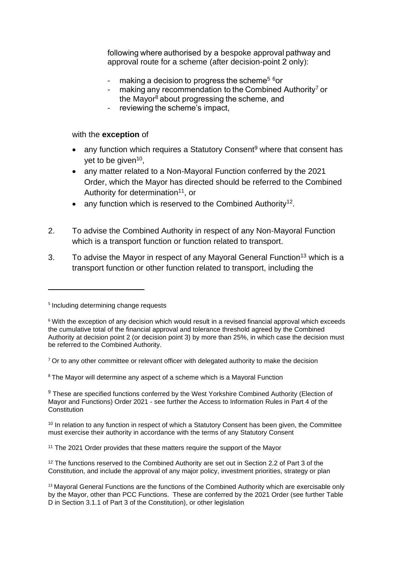following where authorised by a bespoke approval pathway and approval route for a scheme (after decision-point 2 only): 

- making a decision to progress the scheme<sup>5 6</sup>or
- making any recommendation to the Combined Authority<sup>7</sup> or the Mayor<sup>8</sup> about progressing the scheme, and
- reviewing the scheme's impact,

## with the **exception** of

- any function which requires a Statutory Consent<sup>9</sup> where that consent has yet to be given<sup>10</sup>,
- any matter related to a Non-Mayoral Function conferred by the 2021 Order, which the Mayor has directed should be referred to the Combined Authority for determination<sup>11</sup>, or
- any function which is reserved to the Combined Authority<sup>12</sup>.
- 2. To advise the Combined Authority in respect of any Non-Mayoral Function which is a transport function or function related to transport.
- 3. To advise the Mayor in respect of any Mayoral General Function<sup>13</sup> which is a transport function or other function related to transport, including the

<sup>8</sup> The Mayor will determine any aspect of a scheme which is a Mayoral Function

 $9$  These are specified functions conferred by the West Yorkshire Combined Authority (Election of Mayor and Functions) Order 2021 - see further the Access to Information Rules in Part 4 of the **Constitution** 

<sup>10</sup> In relation to any function in respect of which a Statutory Consent has been given, the Committee must exercise their authority in accordance with the terms of any Statutory Consent

<sup>11</sup> The 2021 Order provides that these matters require the support of the Mayor

<sup>12</sup> The functions reserved to the Combined Authority are set out in Section 2.2 of Part 3 of the Constitution, and include the approval of any major policy, investment priorities, strategy or plan

<sup>5</sup> Including determining change requests

<sup>6</sup> With the exception of any decision which would result in a revised financial approval which exceeds the cumulative total of the financial approval and tolerance threshold agreed by the Combined Authority at decision point 2 (or decision point 3) by more than 25%, in which case the decision must be referred to the Combined Authority.

 $7$  Or to any other committee or relevant officer with delegated authority to make the decision

<sup>&</sup>lt;sup>13</sup> Mayoral General Functions are the functions of the Combined Authority which are exercisable only by the Mayor, other than PCC Functions. These are conferred by the 2021 Order (see further Table D in Section 3.1.1 of Part 3 of the Constitution), or other legislation